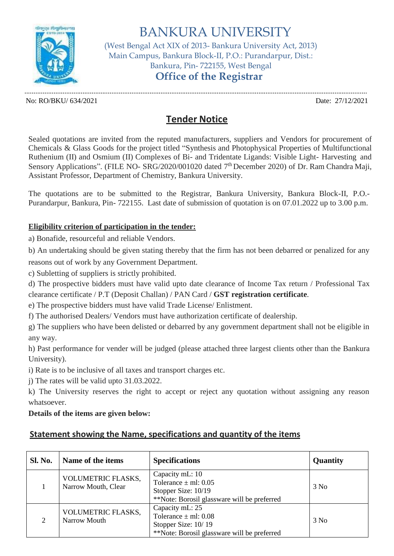

BANKURA UNIVERSITY (West Bengal Act XIX of 2013- Bankura University Act, 2013) Main Campus, Bankura Block-II, P.O.: Purandarpur, Dist.: Bankura, Pin- 722155, West Bengal **Office of the Registrar**

............................................................................................................................................................................................. No: RO/BKU/ 634/2021 Date: 27/12/2021

## **Tender Notice**

Sealed quotations are invited from the reputed manufacturers, suppliers and Vendors for procurement of Chemicals & Glass Goods for the project titled "Synthesis and Photophysical Properties of Multifunctional Ruthenium (II) and Osmium (II) Complexes of Bi- and Tridentate Ligands: Visible Light- Harvesting and Sensory Applications". (FILE NO- SRG/2020/001020 dated 7<sup>th</sup> December 2020) of Dr. Ram Chandra Maji, Assistant Professor, Department of Chemistry, Bankura University.

The quotations are to be submitted to the Registrar, Bankura University, Bankura Block-II, P.O.- Purandarpur, Bankura, Pin- 722155. Last date of submission of quotation is on 07.01.2022 up to 3.00 p.m.

## **Eligibility criterion of participation in the tender:**

a) Bonafide, resourceful and reliable Vendors.

b) An undertaking should be given stating thereby that the firm has not been debarred or penalized for any reasons out of work by any Government Department.

c) Subletting of suppliers is strictly prohibited.

d) The prospective bidders must have valid upto date clearance of Income Tax return / Professional Tax clearance certificate / P.T (Deposit Challan) / PAN Card / **GST registration certificate**.

e) The prospective bidders must have valid Trade License/ Enlistment.

f) The authorised Dealers/ Vendors must have authorization certificate of dealership.

g) The suppliers who have been delisted or debarred by any government department shall not be eligible in any way.

h) Past performance for vender will be judged (please attached three largest clients other than the Bankura University).

i) Rate is to be inclusive of all taxes and transport charges etc.

j) The rates will be valid upto 31.03.2022.

k) The University reserves the right to accept or reject any quotation without assigning any reason whatsoever.

## **Details of the items are given below:**

## **Statement showing the Name, specifications and quantity of the items**

| <b>Sl. No.</b>              | Name of the items                         | <b>Specifications</b>                                                                                             | Quantity |
|-----------------------------|-------------------------------------------|-------------------------------------------------------------------------------------------------------------------|----------|
|                             | VOLUMETRIC FLASKS,<br>Narrow Mouth, Clear | Capacity mL: 10<br>Tolerance $\pm$ ml: 0.05<br>Stopper Size: 10/19<br>**Note: Borosil glassware will be preferred | 3 No     |
| $\mathcal{D}_{\mathcal{L}}$ | VOLUMETRIC FLASKS,<br>Narrow Mouth        | Capacity mL: 25<br>Tolerance $\pm$ ml: 0.08<br>Stopper Size: 10/19<br>**Note: Borosil glassware will be preferred | 3 No     |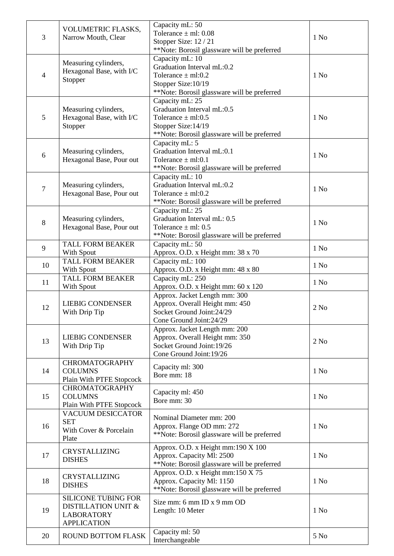| 3              | VOLUMETRIC FLASKS,                      | Capacity mL: 50<br>Tolerance $\pm$ ml: 0.08           |                  |
|----------------|-----------------------------------------|-------------------------------------------------------|------------------|
|                | Narrow Mouth, Clear                     | Stopper Size: 12 / 21                                 | 1 N <sub>0</sub> |
|                |                                         | **Note: Borosil glassware will be preferred           |                  |
|                | Measuring cylinders,                    | Capacity mL: 10                                       |                  |
|                | Hexagonal Base, with I/C                | Graduation Interval mL:0.2                            |                  |
| $\overline{4}$ | Stopper                                 | Tolerance $\pm$ ml:0.2                                | $1$ No           |
|                |                                         | Stopper Size: 10/19                                   |                  |
|                |                                         | **Note: Borosil glassware will be preferred           |                  |
|                |                                         | Capacity mL: 25                                       |                  |
| 5              | Measuring cylinders,                    | Graduation Interval mL:0.5<br>Tolerance $\pm$ ml:0.5  | $1$ No           |
|                | Hexagonal Base, with I/C<br>Stopper     | Stopper Size: 14/19                                   |                  |
|                |                                         | **Note: Borosil glassware will be preferred           |                  |
|                |                                         | Capacity mL: 5                                        |                  |
|                | Measuring cylinders,                    | Graduation Interval mL:0.1                            |                  |
| 6              | Hexagonal Base, Pour out                | Tolerance $\pm$ ml:0.1                                | $1$ No           |
|                |                                         | **Note: Borosil glassware will be preferred           |                  |
|                |                                         | Capacity mL: 10                                       |                  |
| $\overline{7}$ | Measuring cylinders,                    | Graduation Interval mL:0.2                            | $1$ No           |
|                | Hexagonal Base, Pour out                | Tolerance $\pm$ ml:0.2                                |                  |
|                |                                         | **Note: Borosil glassware will be preferred           |                  |
|                |                                         | Capacity mL: 25                                       |                  |
| $8\,$          | Measuring cylinders,                    | Graduation Interval mL: 0.5                           | $1$ No           |
|                | Hexagonal Base, Pour out                | Tolerance $\pm$ ml: 0.5                               |                  |
|                |                                         | **Note: Borosil glassware will be preferred           |                  |
| 9              | <b>TALL FORM BEAKER</b>                 | Capacity mL: 50                                       | 1 N <sub>0</sub> |
|                | With Spout                              | Approx. O.D. x Height mm: 38 x 70                     |                  |
| 10             | <b>TALL FORM BEAKER</b><br>With Spout   | Capacity mL: 100<br>Approx. O.D. x Height mm: 48 x 80 | 1 N <sub>0</sub> |
|                | <b>TALL FORM BEAKER</b>                 | Capacity mL: 250                                      |                  |
| 11             | With Spout                              | Approx. O.D. x Height mm: 60 x 120                    | $1$ No           |
|                |                                         | Approx. Jacket Length mm: 300                         |                  |
|                | <b>LIEBIG CONDENSER</b>                 | Approx. Overall Height mm: 450                        |                  |
| 12             | With Drip Tip                           | Socket Ground Joint: 24/29                            | 2 No             |
|                |                                         | Cone Ground Joint: 24/29                              |                  |
|                |                                         | Approx. Jacket Length mm: 200                         |                  |
| 13             | <b>LIEBIG CONDENSER</b>                 | Approx. Overall Height mm: 350                        | 2 No             |
|                | With Drip Tip                           | Socket Ground Joint: 19/26                            |                  |
|                |                                         | Cone Ground Joint: 19/26                              |                  |
|                | <b>CHROMATOGRAPHY</b>                   | Capacity ml: 300                                      |                  |
| 14             | <b>COLUMNS</b>                          | Bore mm: 18                                           | $1$ No           |
|                | Plain With PTFE Stopcock                |                                                       |                  |
| 15             | <b>CHROMATOGRAPHY</b><br><b>COLUMNS</b> | Capacity ml: 450                                      | $1$ No           |
|                | Plain With PTFE Stopcock                | Bore mm: 30                                           |                  |
|                | <b>VACUUM DESICCATOR</b>                |                                                       |                  |
|                | <b>SET</b>                              | Nominal Diameter mm: 200                              |                  |
| 16             | With Cover & Porcelain                  | Approx. Flange OD mm: 272                             | $1$ No           |
|                | Plate                                   | **Note: Borosil glassware will be preferred           |                  |
|                |                                         | Approx. O.D. x Height mm:190 X 100                    |                  |
| 17             | <b>CRYSTALLIZING</b>                    | Approx. Capacity Ml: 2500                             | $1$ No           |
|                | <b>DISHES</b>                           | **Note: Borosil glassware will be preferred           |                  |
|                | <b>CRYSTALLIZING</b>                    | Approx. O.D. x Height mm:150 X 75                     |                  |
| 18             | <b>DISHES</b>                           | Approx. Capacity Ml: 1150                             | $1$ No           |
|                |                                         | **Note: Borosil glassware will be preferred           |                  |
|                | <b>SILICONE TUBING FOR</b>              | Size mm: 6 mm ID x 9 mm OD                            |                  |
| 19             | DISTILLATION UNIT &                     | Length: 10 Meter                                      | $1$ No           |
|                | <b>LABORATORY</b>                       |                                                       |                  |
|                | <b>APPLICATION</b>                      |                                                       |                  |
| 20             | <b>ROUND BOTTOM FLASK</b>               | Capacity ml: 50                                       | 5 No             |
|                |                                         | Interchangeable                                       |                  |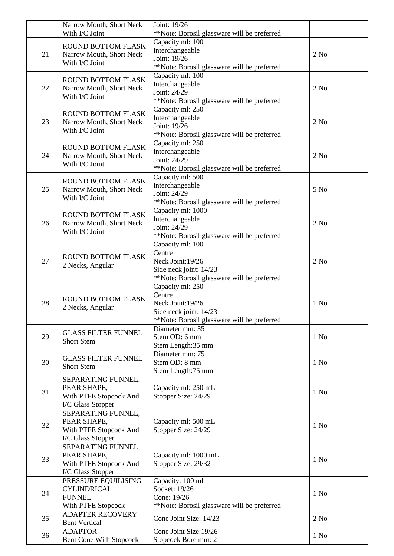|    | Narrow Mouth, Short Neck<br>With I/C Joint | Joint: 19/26<br>**Note: Borosil glassware will be preferred |                  |
|----|--------------------------------------------|-------------------------------------------------------------|------------------|
|    |                                            | Capacity ml: 100                                            |                  |
|    | ROUND BOTTOM FLASK                         | Interchangeable                                             |                  |
| 21 | Narrow Mouth, Short Neck                   | Joint: 19/26                                                | 2 No             |
|    | With I/C Joint                             | **Note: Borosil glassware will be preferred                 |                  |
|    |                                            | Capacity ml: 100                                            |                  |
|    | ROUND BOTTOM FLASK                         |                                                             |                  |
| 22 | Narrow Mouth, Short Neck                   | Interchangeable                                             | 2 No             |
|    | With I/C Joint                             | Joint: 24/29                                                |                  |
|    |                                            | **Note: Borosil glassware will be preferred                 |                  |
|    | <b>ROUND BOTTOM FLASK</b>                  | Capacity ml: 250                                            |                  |
| 23 | Narrow Mouth, Short Neck                   | Interchangeable                                             | 2 No             |
|    | With I/C Joint                             | Joint: 19/26                                                |                  |
|    |                                            | **Note: Borosil glassware will be preferred                 |                  |
|    | <b>ROUND BOTTOM FLASK</b>                  | Capacity ml: 250                                            |                  |
|    |                                            | Interchangeable                                             |                  |
| 24 | Narrow Mouth, Short Neck                   | Joint: 24/29                                                | 2 No             |
|    | With I/C Joint                             | **Note: Borosil glassware will be preferred                 |                  |
|    |                                            | Capacity ml: 500                                            |                  |
|    | <b>ROUND BOTTOM FLASK</b>                  | Interchangeable                                             |                  |
| 25 | Narrow Mouth, Short Neck                   | Joint: 24/29                                                | 5 No             |
|    | With I/C Joint                             | **Note: Borosil glassware will be preferred                 |                  |
|    |                                            |                                                             |                  |
|    | ROUND BOTTOM FLASK                         | Capacity ml: 1000                                           |                  |
| 26 | Narrow Mouth, Short Neck                   | Interchangeable                                             | 2 No             |
|    | With I/C Joint                             | Joint: 24/29                                                |                  |
|    |                                            | **Note: Borosil glassware will be preferred                 |                  |
|    |                                            | Capacity ml: 100                                            |                  |
|    | <b>ROUND BOTTOM FLASK</b>                  | Centre                                                      |                  |
| 27 |                                            | Neck Joint: 19/26                                           | 2 No             |
|    | 2 Necks, Angular                           | Side neck joint: 14/23                                      |                  |
|    |                                            | **Note: Borosil glassware will be preferred                 |                  |
|    |                                            | Capacity ml: 250                                            |                  |
|    |                                            | Centre                                                      |                  |
| 28 | ROUND BOTTOM FLASK                         | Neck Joint: 19/26                                           | $1$ No           |
|    | 2 Necks, Angular                           | Side neck joint: 14/23                                      |                  |
|    |                                            | **Note: Borosil glassware will be preferred                 |                  |
|    |                                            | Diameter mm: 35                                             |                  |
|    | <b>GLASS FILTER FUNNEL</b>                 | Stem OD: 6 mm                                               |                  |
| 29 | <b>Short Stem</b>                          |                                                             | 1 N <sub>0</sub> |
|    |                                            | Stem Length:35 mm                                           |                  |
|    | <b>GLASS FILTER FUNNEL</b>                 | Diameter mm: 75                                             |                  |
| 30 | <b>Short Stem</b>                          | Stem OD: 8 mm                                               | $1$ No           |
|    |                                            | Stem Length:75 mm                                           |                  |
|    | SEPARATING FUNNEL,                         |                                                             |                  |
| 31 | PEAR SHAPE,                                | Capacity ml: 250 mL                                         | 1 N <sub>0</sub> |
|    | With PTFE Stopcock And                     | Stopper Size: 24/29                                         |                  |
|    | I/C Glass Stopper                          |                                                             |                  |
|    | SEPARATING FUNNEL,                         |                                                             |                  |
|    | PEAR SHAPE,                                | Capacity ml: 500 mL                                         |                  |
| 32 | With PTFE Stopcock And                     | Stopper Size: 24/29                                         | 1 N <sub>0</sub> |
|    | I/C Glass Stopper                          |                                                             |                  |
|    | SEPARATING FUNNEL,                         |                                                             |                  |
|    | PEAR SHAPE,                                | Capacity ml: 1000 mL                                        |                  |
| 33 | With PTFE Stopcock And                     | Stopper Size: 29/32                                         | $1$ No           |
|    |                                            |                                                             |                  |
|    | I/C Glass Stopper                          |                                                             |                  |
| 34 | PRESSURE EQUILISING                        | Capacity: 100 ml                                            |                  |
|    | <b>CYLINDRICAL</b>                         | Socket: 19/26                                               | $1$ No           |
|    | <b>FUNNEL</b>                              | Cone: 19/26                                                 |                  |
|    | With PTFE Stopcock                         | **Note: Borosil glassware will be preferred                 |                  |
| 35 | <b>ADAPTER RECOVERY</b>                    | Cone Joint Size: 14/23                                      | 2 No             |
|    | <b>Bent Vertical</b>                       |                                                             |                  |
| 36 | <b>ADAPTOR</b>                             | Cone Joint Size: 19/26                                      | $1$ No           |
|    | <b>Bent Cone With Stopcock</b>             | Stopcock Bore mm: 2                                         |                  |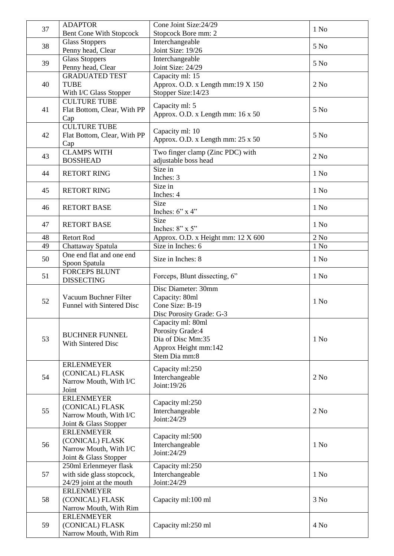| 37 | <b>ADAPTOR</b>                                     | Cone Joint Size: 24/29             | $1$ No           |
|----|----------------------------------------------------|------------------------------------|------------------|
|    | <b>Bent Cone With Stopcock</b>                     | Stopcock Bore mm: 2                |                  |
| 38 | <b>Glass Stoppers</b>                              | Interchangeable                    | 5 No             |
|    | Penny head, Clear                                  | Joint Size: 19/26                  |                  |
| 39 | <b>Glass Stoppers</b>                              | Interchangeable                    | 5 No             |
|    | Penny head, Clear                                  | Joint Size: 24/29                  |                  |
|    | <b>GRADUATED TEST</b>                              | Capacity ml: 15                    |                  |
| 40 | <b>TUBE</b>                                        | Approx. O.D. x Length mm:19 X 150  | 2 No             |
|    | With I/C Glass Stopper                             | Stopper Size: 14/23                |                  |
|    | <b>CULTURE TUBE</b>                                | Capacity ml: 5                     |                  |
| 41 | Flat Bottom, Clear, With PP                        | Approx. O.D. x Length mm: 16 x 50  | 5 No             |
|    | Cap                                                |                                    |                  |
|    | <b>CULTURE TUBE</b>                                | Capacity ml: 10                    |                  |
| 42 | Flat Bottom, Clear, With PP                        | Approx. O.D. x Length mm: 25 x 50  | 5 No             |
|    | Cap                                                |                                    |                  |
| 43 | <b>CLAMPS WITH</b>                                 | Two finger clamp (Zinc PDC) with   | 2 No             |
|    | <b>BOSSHEAD</b>                                    | adjustable boss head               |                  |
| 44 | <b>RETORT RING</b>                                 | Size in                            | 1 N <sub>0</sub> |
|    |                                                    | Inches: 3                          |                  |
| 45 | <b>RETORT RING</b>                                 | Size in                            | $1$ No           |
|    |                                                    | Inches: 4                          |                  |
|    | <b>RETORT BASE</b>                                 | Size                               |                  |
| 46 |                                                    | Inches: $6$ " x $4$ "              | $1$ No           |
|    |                                                    | Size                               |                  |
| 47 | <b>RETORT BASE</b>                                 | Inches: 8" x 5"                    | 1 N <sub>0</sub> |
| 48 | <b>Retort Rod</b>                                  | Approx. O.D. x Height mm: 12 X 600 | $2$ No           |
| 49 | Chattaway Spatula                                  | Size in Inches: 6                  | 1 N <sub>0</sub> |
|    | One end flat and one end                           |                                    |                  |
| 50 | Spoon Spatula                                      | Size in Inches: 8                  | $1$ No           |
|    | <b>FORCEPS BLUNT</b>                               |                                    |                  |
| 51 | <b>DISSECTING</b>                                  | Forceps, Blunt dissecting, 6"      | 1 N <sub>0</sub> |
|    |                                                    | Disc Diameter: 30mm                |                  |
| 52 | Vacuum Buchner Filter<br>Funnel with Sintered Disc | Capacity: 80ml                     |                  |
|    |                                                    | Cone Size: B-19                    | $1$ No           |
|    |                                                    | Disc Porosity Grade: G-3           |                  |
|    |                                                    | Capacity ml: 80ml                  |                  |
|    | <b>BUCHNER FUNNEL</b><br><b>With Sintered Disc</b> | Porosity Grade:4                   |                  |
| 53 |                                                    | Dia of Disc Mm:35                  | 1 N <sub>0</sub> |
|    |                                                    | Approx Height mm:142               |                  |
|    |                                                    | Stem Dia mm:8                      |                  |
|    | <b>ERLENMEYER</b>                                  | Capacity ml:250                    |                  |
| 54 | (CONICAL) FLASK                                    | Interchangeable                    | 2 No             |
|    | Narrow Mouth, With I/C                             | Joint: 19/26                       |                  |
|    | Joint                                              |                                    |                  |
|    | <b>ERLENMEYER</b>                                  | Capacity ml:250                    |                  |
| 55 | (CONICAL) FLASK                                    | Interchangeable                    | 2 No             |
|    | Narrow Mouth, With I/C                             | Joint:24/29                        |                  |
|    | Joint & Glass Stopper                              |                                    |                  |
| 56 | <b>ERLENMEYER</b>                                  | Capacity ml:500                    |                  |
|    | (CONICAL) FLASK                                    | Interchangeable                    | $1$ No           |
|    | Narrow Mouth, With I/C                             | Joint:24/29                        |                  |
|    | Joint & Glass Stopper                              |                                    |                  |
| 57 | 250ml Erlenmeyer flask                             | Capacity ml:250                    |                  |
|    | with side glass stopcock,                          | Interchangeable                    | $1$ No           |
|    | 24/29 joint at the mouth                           | Joint:24/29                        |                  |
| 58 | <b>ERLENMEYER</b>                                  |                                    |                  |
|    | (CONICAL) FLASK                                    | Capacity ml:100 ml                 | 3 No             |
|    | Narrow Mouth, With Rim                             |                                    |                  |
| 59 | <b>ERLENMEYER</b>                                  |                                    |                  |
|    | (CONICAL) FLASK                                    | Capacity ml:250 ml                 | 4 No             |
|    | Narrow Mouth, With Rim                             |                                    |                  |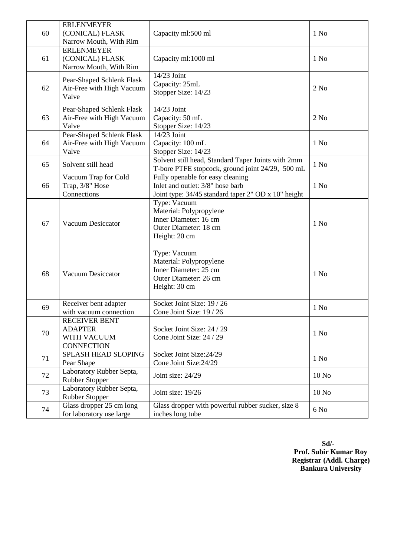| 60 | <b>ERLENMEYER</b><br>(CONICAL) FLASK<br>Narrow Mouth, With Rim             | Capacity ml:500 ml                                                                                                          | 1 N <sub>0</sub>  |
|----|----------------------------------------------------------------------------|-----------------------------------------------------------------------------------------------------------------------------|-------------------|
| 61 | <b>ERLENMEYER</b><br>(CONICAL) FLASK<br>Narrow Mouth, With Rim             | Capacity ml:1000 ml                                                                                                         | $1$ No            |
| 62 | Pear-Shaped Schlenk Flask<br>Air-Free with High Vacuum<br>Valve            | 14/23 Joint<br>Capacity: 25mL<br>Stopper Size: 14/23                                                                        | 2 No              |
| 63 | Pear-Shaped Schlenk Flask<br>Air-Free with High Vacuum<br>Valve            | 14/23 Joint<br>Capacity: 50 mL<br>Stopper Size: 14/23                                                                       | $2$ No            |
| 64 | Pear-Shaped Schlenk Flask<br>Air-Free with High Vacuum<br>Valve            | $14/23$ Joint<br>Capacity: 100 mL<br>Stopper Size: 14/23                                                                    | $1$ No            |
| 65 | Solvent still head                                                         | Solvent still head, Standard Taper Joints with 2mm<br>T-bore PTFE stopcock, ground joint 24/29, 500 mL                      | 1 N <sub>0</sub>  |
| 66 | Vacuum Trap for Cold<br>Trap, 3/8" Hose<br>Connections                     | Fully openable for easy cleaning<br>Inlet and outlet: 3/8" hose barb<br>Joint type: 34/45 standard taper 2" OD x 10" height | $1$ No            |
| 67 | <b>Vacuum Desiccator</b>                                                   | Type: Vacuum<br>Material: Polypropylene<br>Inner Diameter: 16 cm<br>Outer Diameter: 18 cm<br>Height: 20 cm                  | $1$ No            |
| 68 | <b>Vacuum Desiccator</b>                                                   | Type: Vacuum<br>Material: Polypropylene<br>Inner Diameter: 25 cm<br>Outer Diameter: 26 cm<br>Height: 30 cm                  | $1$ No            |
| 69 | Receiver bent adapter<br>with vacuum connection                            | Socket Joint Size: 19 / 26<br>Cone Joint Size: 19 / 26                                                                      | $1$ No            |
| 70 | <b>RECEIVER BENT</b><br><b>ADAPTER</b><br>WITH VACUUM<br><b>CONNECTION</b> | Socket Joint Size: 24 / 29<br>Cone Joint Size: 24 / 29                                                                      | 1 N <sub>0</sub>  |
| 71 | <b>SPLASH HEAD SLOPING</b><br>Pear Shape                                   | Socket Joint Size: 24/29<br>Cone Joint Size: 24/29                                                                          | $1$ No            |
| 72 | Laboratory Rubber Septa,<br>Rubber Stopper                                 | Joint size: 24/29                                                                                                           | 10N <sub>o</sub>  |
| 73 | Laboratory Rubber Septa,<br>Rubber Stopper                                 | Joint size: 19/26                                                                                                           | 10 N <sub>o</sub> |
| 74 | Glass dropper 25 cm long<br>for laboratory use large                       | Glass dropper with powerful rubber sucker, size 8<br>inches long tube                                                       | 6N <sub>0</sub>   |

**Sd/- Prof. Subir Kumar Roy Registrar (Addl. Charge) Bankura University**